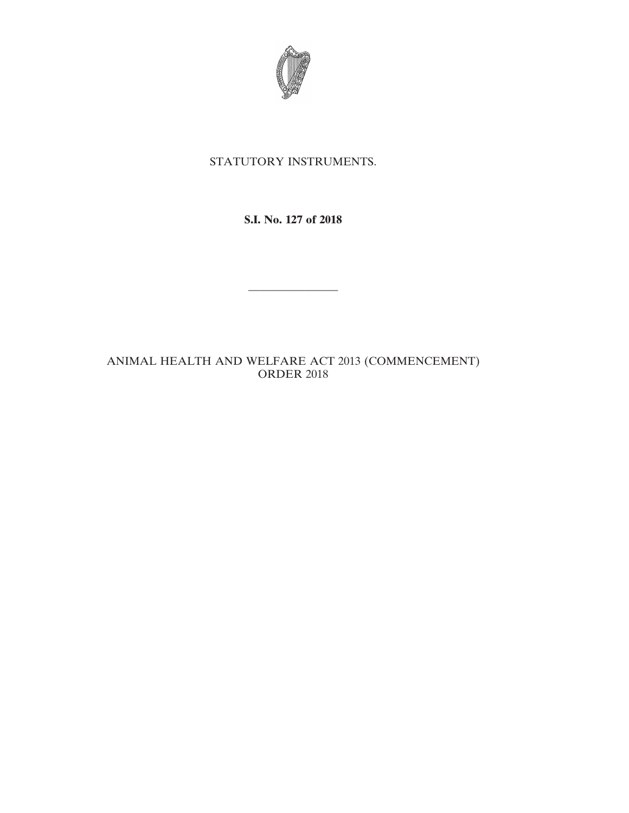

## STATUTORY INSTRUMENTS.

**S.I. No. 127 of 2018**

————————

## ANIMAL HEALTH AND WELFARE ACT 2013 (COMMENCEMENT) ORDER 2018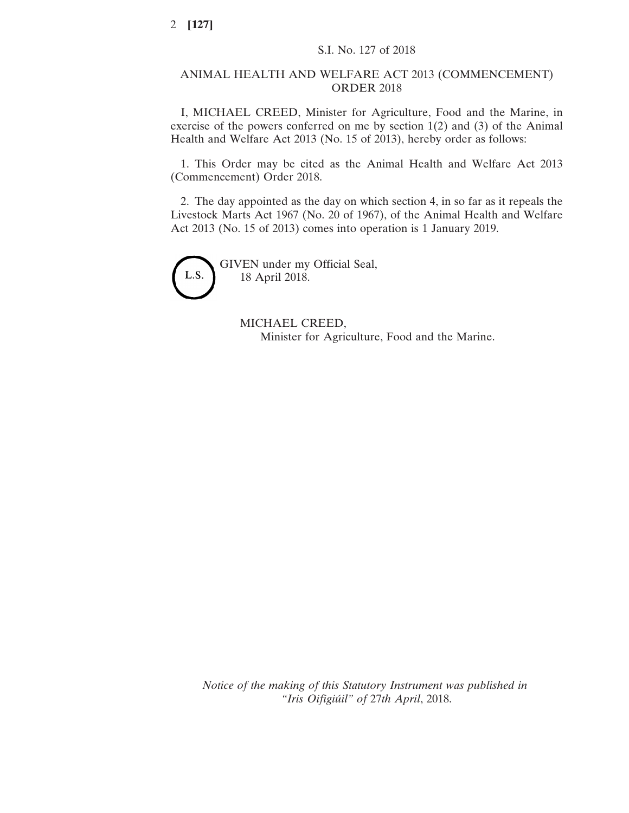## ANIMAL HEALTH AND WELFARE ACT 2013 (COMMENCEMENT) ORDER 2018

I, MICHAEL CREED, Minister for Agriculture, Food and the Marine, in exercise of the powers conferred on me by section 1(2) and (3) of the Animal Health and Welfare Act 2013 (No. 15 of 2013), hereby order as follows:

1. This Order may be cited as the Animal Health and Welfare Act 2013 (Commencement) Order 2018.

2. The day appointed as the day on which section 4, in so far as it repeals the Livestock Marts Act 1967 (No. 20 of 1967), of the Animal Health and Welfare Act 2013 (No. 15 of 2013) comes into operation is 1 January 2019.



GIVEN under my Official Seal, 18 April 2018.

> MICHAEL CREED, Minister for Agriculture, Food and the Marine.

*Notice of the making of this Statutory Instrument was published in "Iris Oifigiúil" of* 27*th April*, 2018.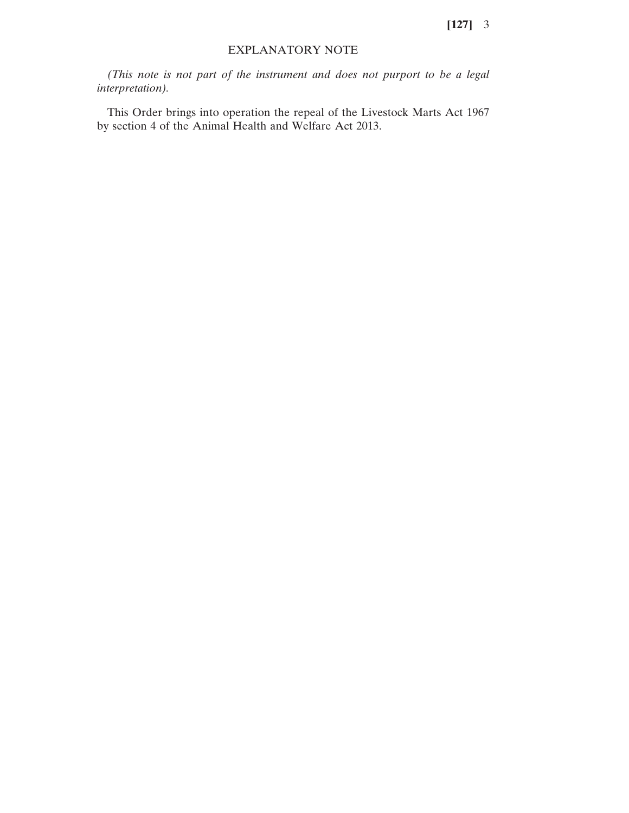**[127]** 3

## EXPLANATORY NOTE

*(This note is not part of the instrument and does not purport to be a legal interpretation).*

This Order brings into operation the repeal of the Livestock Marts Act 1967 by section 4 of the Animal Health and Welfare Act 2013.